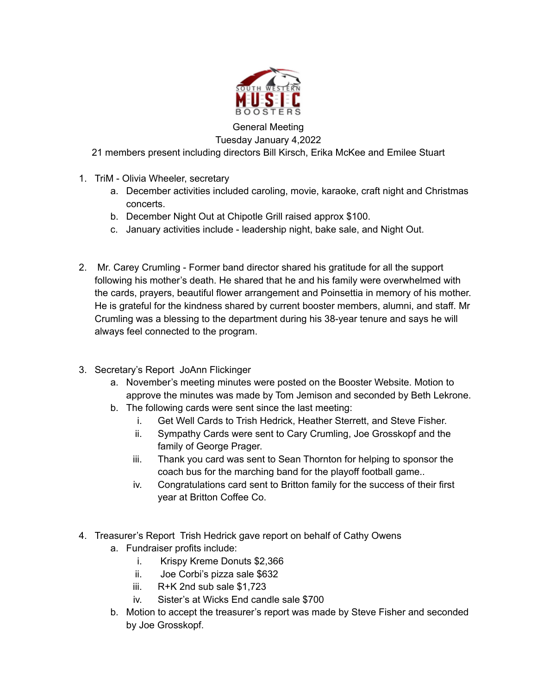

General Meeting

Tuesday January 4,2022

21 members present including directors Bill Kirsch, Erika McKee and Emilee Stuart

- 1. TriM Olivia Wheeler, secretary
	- a. December activities included caroling, movie, karaoke, craft night and Christmas concerts.
	- b. December Night Out at Chipotle Grill raised approx \$100.
	- c. January activities include leadership night, bake sale, and Night Out.
- 2. Mr. Carey Crumling Former band director shared his gratitude for all the support following his mother's death. He shared that he and his family were overwhelmed with the cards, prayers, beautiful flower arrangement and Poinsettia in memory of his mother. He is grateful for the kindness shared by current booster members, alumni, and staff. Mr Crumling was a blessing to the department during his 38-year tenure and says he will always feel connected to the program.
- 3. Secretary's Report JoAnn Flickinger
	- a. November's meeting minutes were posted on the Booster Website. Motion to approve the minutes was made by Tom Jemison and seconded by Beth Lekrone.
	- b. The following cards were sent since the last meeting:
		- i. Get Well Cards to Trish Hedrick, Heather Sterrett, and Steve Fisher.
		- ii. Sympathy Cards were sent to Cary Crumling, Joe Grosskopf and the family of George Prager.
		- iii. Thank you card was sent to Sean Thornton for helping to sponsor the coach bus for the marching band for the playoff football game..
		- iv. Congratulations card sent to Britton family for the success of their first year at Britton Coffee Co.
- 4. Treasurer's Report Trish Hedrick gave report on behalf of Cathy Owens a. Fundraiser profits include:
	- i. Krispy Kreme Donuts \$2,366
	- ii. Joe Corbi's pizza sale \$632
	- iii. R+K 2nd sub sale \$1,723
	- iv. Sister's at Wicks End candle sale \$700
	- b. Motion to accept the treasurer's report was made by Steve Fisher and seconded by Joe Grosskopf.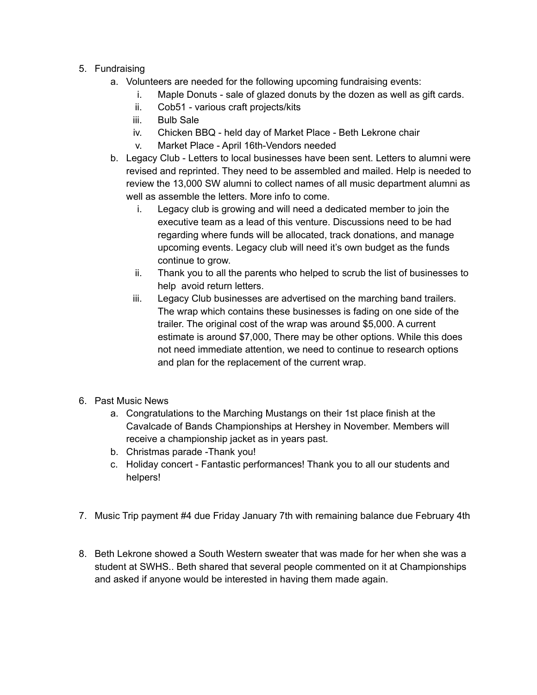## 5. Fundraising

- a. Volunteers are needed for the following upcoming fundraising events:
	- i. Maple Donuts sale of glazed donuts by the dozen as well as gift cards.
	- ii. Cob51 various craft projects/kits
	- iii. Bulb Sale
	- iv. Chicken BBQ held day of Market Place Beth Lekrone chair
	- v. Market Place April 16th-Vendors needed
- b. Legacy Club Letters to local businesses have been sent. Letters to alumni were revised and reprinted. They need to be assembled and mailed. Help is needed to review the 13,000 SW alumni to collect names of all music department alumni as well as assemble the letters. More info to come.
	- i. Legacy club is growing and will need a dedicated member to join the executive team as a lead of this venture. Discussions need to be had regarding where funds will be allocated, track donations, and manage upcoming events. Legacy club will need it's own budget as the funds continue to grow.
	- ii. Thank you to all the parents who helped to scrub the list of businesses to help avoid return letters.
	- iii. Legacy Club businesses are advertised on the marching band trailers. The wrap which contains these businesses is fading on one side of the trailer. The original cost of the wrap was around \$5,000. A current estimate is around \$7,000, There may be other options. While this does not need immediate attention, we need to continue to research options and plan for the replacement of the current wrap.
- 6. Past Music News
	- a. Congratulations to the Marching Mustangs on their 1st place finish at the Cavalcade of Bands Championships at Hershey in November. Members will receive a championship jacket as in years past.
	- b. Christmas parade -Thank you!
	- c. Holiday concert Fantastic performances! Thank you to all our students and helpers!
- 7. Music Trip payment #4 due Friday January 7th with remaining balance due February 4th
- 8. Beth Lekrone showed a South Western sweater that was made for her when she was a student at SWHS.. Beth shared that several people commented on it at Championships and asked if anyone would be interested in having them made again.